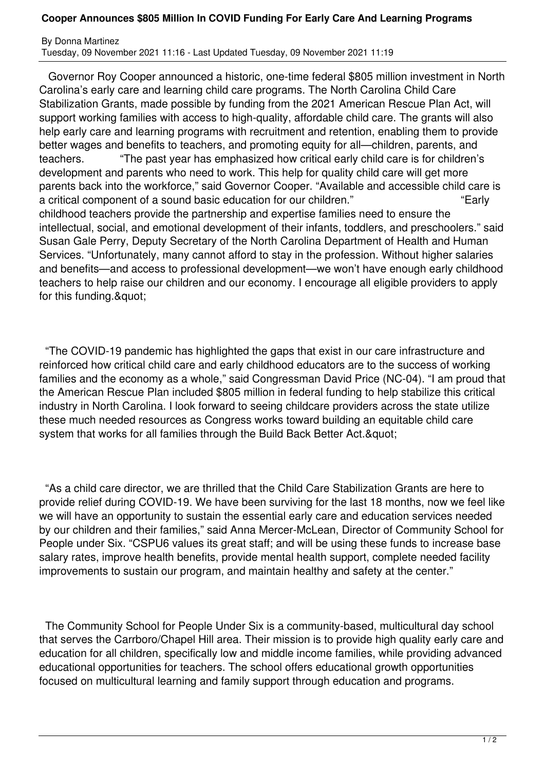## **Cooper Announces \$805 Million In COVID Funding For Early Care And Learning Programs**

By Donna Martinez Tuesday, 09 November 2021 11:16 - Last Updated Tuesday, 09 November 2021 11:19

 Governor Roy Cooper announced a historic, one-time federal \$805 million investment in North Carolina's early care and learning child care programs. The North Carolina Child Care Stabilization Grants, made possible by funding from the 2021 American Rescue Plan Act, will support working families with access to high-quality, affordable child care. The grants will also help early care and learning programs with recruitment and retention, enabling them to provide better wages and benefits to teachers, and promoting equity for all—children, parents, and teachers. "The past year has emphasized how critical early child care is for children's development and parents who need to work. This help for quality child care will get more parents back into the workforce," said Governor Cooper. "Available and accessible child care is a critical component of a sound basic education for our children." 
<br>
Farly childhood teachers provide the partnership and expertise families need to ensure the intellectual, social, and emotional development of their infants, toddlers, and preschoolers." said Susan Gale Perry, Deputy Secretary of the North Carolina Department of Health and Human Services. "Unfortunately, many cannot afford to stay in the profession. Without higher salaries and benefits—and access to professional development—we won't have enough early childhood teachers to help raise our children and our economy. I encourage all eligible providers to apply for this funding."

 "The COVID-19 pandemic has highlighted the gaps that exist in our care infrastructure and reinforced how critical child care and early childhood educators are to the success of working families and the economy as a whole," said Congressman David Price (NC-04). "I am proud that the American Rescue Plan included \$805 million in federal funding to help stabilize this critical industry in North Carolina. I look forward to seeing childcare providers across the state utilize these much needed resources as Congress works toward building an equitable child care system that works for all families through the Build Back Better Act. & quot;

 "As a child care director, we are thrilled that the Child Care Stabilization Grants are here to provide relief during COVID-19. We have been surviving for the last 18 months, now we feel like we will have an opportunity to sustain the essential early care and education services needed by our children and their families," said Anna Mercer-McLean, Director of Community School for People under Six. "CSPU6 values its great staff; and will be using these funds to increase base salary rates, improve health benefits, provide mental health support, complete needed facility improvements to sustain our program, and maintain healthy and safety at the center."

 The Community School for People Under Six is a community-based, multicultural day school that serves the Carrboro/Chapel Hill area. Their mission is to provide high quality early care and education for all children, specifically low and middle income families, while providing advanced educational opportunities for teachers. The school offers educational growth opportunities focused on multicultural learning and family support through education and programs.